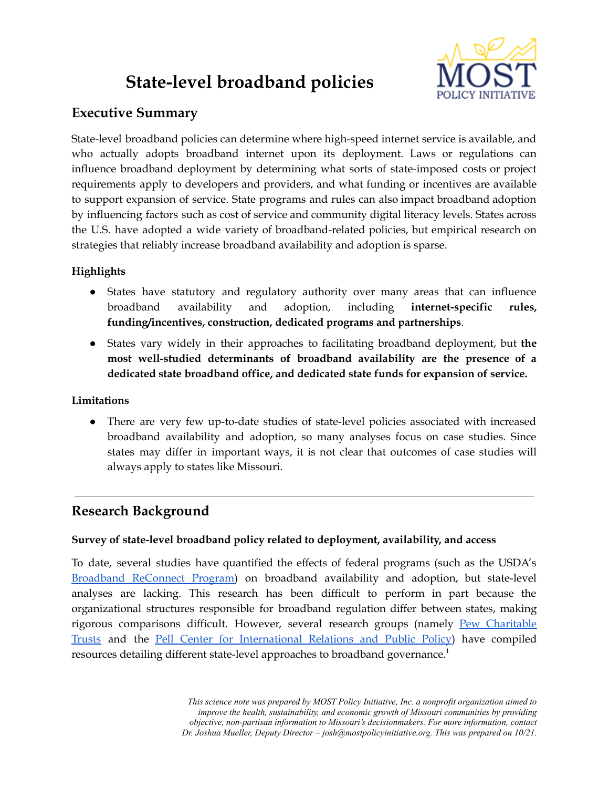# **State-level broadband policies**



## **Executive Summary**

State-level broadband policies can determine where high-speed internet service is available, and who actually adopts broadband internet upon its deployment. Laws or regulations can influence broadband deployment by determining what sorts of state-imposed costs or project requirements apply to developers and providers, and what funding or incentives are available to support expansion of service. State programs and rules can also impact broadband adoption by influencing factors such as cost of service and community digital literacy levels. States across the U.S. have adopted a wide variety of broadband-related policies, but empirical research on strategies that reliably increase broadband availability and adoption is sparse.

## **Highlights**

- States have statutory and regulatory authority over many areas that can influence broadband availability and adoption, including **internet-specific rules, funding/incentives, construction, dedicated programs and partnerships**.
- States vary widely in their approaches to facilitating broadband deployment, but **the most well-studied determinants of broadband availability are the presence of a dedicated state broadband office, and dedicated state funds for expansion of service.**

#### **Limitations**

● There are very few up-to-date studies of state-level policies associated with increased broadband availability and adoption, so many analyses focus on case studies. Since states may differ in important ways, it is not clear that outcomes of case studies will always apply to states like Missouri.

# **Research Background**

### **Survey of state-level broadband policy related to deployment, availability, and access**

To date, several studies have quantified the effects of federal programs (such as the USDA's [Broadband](https://www.usda.gov/reconnect) ReConnect Program) on broadband availability and adoption, but state-level analyses are lacking. This research has been difficult to perform in part because the organizational structures responsible for broadband regulation differ between states, making rigorous comparisons difficult. However, several research groups (namely Pew [Charitable](https://www.pewtrusts.org/-/media/assets/2020/03/broadband_report0320_final.pdf) [Trusts](https://www.pewtrusts.org/-/media/assets/2020/03/broadband_report0320_final.pdf) and the Pell Center for [International](https://www.pellcenter.org/wp-content/uploads/2017/02/State-Level-Broadband-Policy-FINAL.pdf) Relations and Public Policy) have compiled resources detailing different state-level approaches to broadband governance.<sup>1</sup>

> *This science note was prepared by MOST Policy Initiative, Inc. a nonprofit organization aimed to improve the health, sustainability, and economic growth of Missouri communities by providing objective, non-partisan information to Missouri's decisionmakers. For more information, contact Dr. Joshua Mueller, Deputy Director – josh@mostpolicyinitiative.org. This was prepared on 10/21.*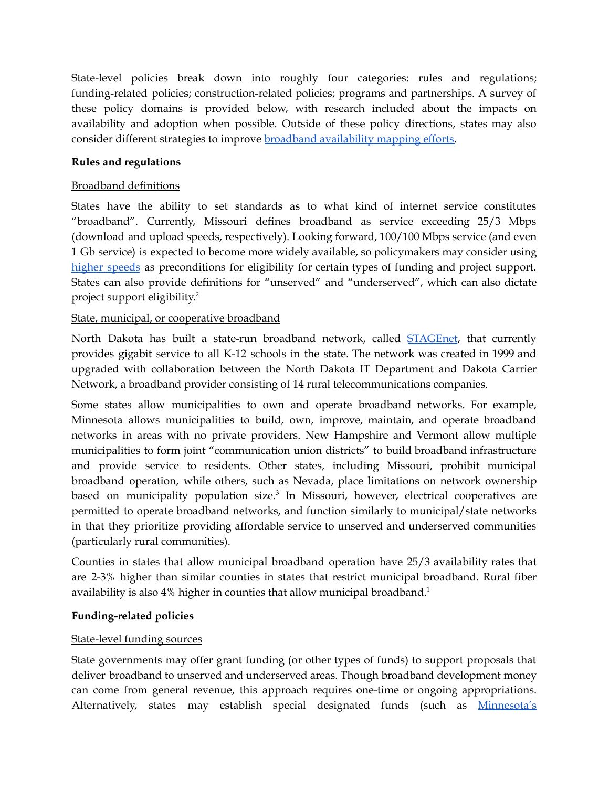State-level policies break down into roughly four categories: rules and regulations; funding-related policies; construction-related policies; programs and partnerships. A survey of these policy domains is provided below, with research included about the impacts on availability and adoption when possible. Outside of these policy directions, states may also consider different strategies to improve broadband [availability](https://mostpolicyinitiative.org/wp-content/uploads/2021/08/MOST_Science_Note_Broadband_Mapping.pdf) mapping efforts.

#### **Rules and regulations**

#### Broadband definitions

States have the ability to set standards as to what kind of internet service constitutes "broadband". Currently, Missouri defines broadband as service exceeding 25/3 Mbps (download and upload speeds, respectively). Looking forward, 100/100 Mbps service (and even 1 Gb service) is expected to become more widely available, so policymakers may consider using higher [speeds](https://mostpolicyinitiative.org/wp-content/uploads/2021/03/Internet-Speed-Science-Note.pdf) as preconditions for eligibility for certain types of funding and project support. States can also provide definitions for "unserved" and "underserved", which can also dictate project support eligibility. 2

#### State, municipal, or cooperative broadband

North Dakota has built a state-run broadband network, called **[STAGEnet](https://www.nd.gov/itd/statewide-alliances/stagenet)**, that currently provides gigabit service to all K-12 schools in the state. The network was created in 1999 and upgraded with collaboration between the North Dakota IT Department and Dakota Carrier Network, a broadband provider consisting of 14 rural telecommunications companies.

Some states allow municipalities to own and operate broadband networks. For example, Minnesota allows municipalities to build, own, improve, maintain, and operate broadband networks in areas with no private providers. New Hampshire and Vermont allow multiple municipalities to form joint "communication union districts" to build broadband infrastructure and provide service to residents. Other states, including Missouri, prohibit municipal broadband operation, while others, such as Nevada, place limitations on network ownership based on municipality population size. 3 In Missouri, however, electrical cooperatives are permitted to operate broadband networks, and function similarly to municipal/state networks in that they prioritize providing affordable service to unserved and underserved communities (particularly rural communities).

Counties in states that allow municipal broadband operation have 25/3 availability rates that are 2-3% higher than similar counties in states that restrict municipal broadband. Rural fiber availability is also 4% higher in counties that allow municipal broadband.<sup>1</sup>

#### **Funding-related policies**

#### State-level funding sources

State governments may offer grant funding (or other types of funds) to support proposals that deliver broadband to unserved and underserved areas. Though broadband development money can come from general revenue, this approach requires one-time or ongoing appropriations. Alternatively, states may establish special designated funds (such as [Minnesota's](https://mn.gov/deed/programs-services/broadband/grant-program/)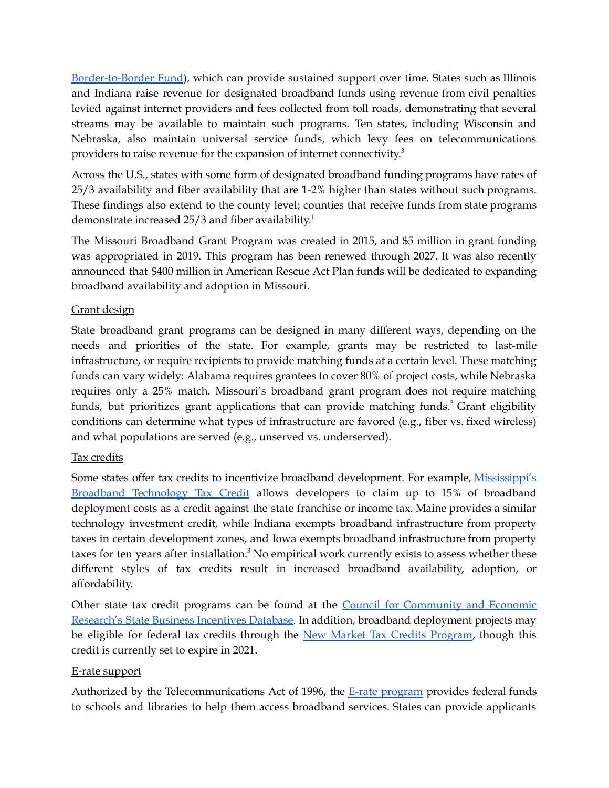[Border-to-Border](https://mn.gov/deed/programs-services/broadband/grant-program/) Fund), which can provide sustained support over time. States such as Illinois and Indiana raise revenue for designated broadband funds using revenue from civil penalties levied against internet providers and fees collected from toll roads, demonstrating that several streams may be available to maintain such programs. Ten states, including Wisconsin and Nebraska, also maintain universal service funds, which levy fees on telecommunications providers to raise revenue for the expansion of internet connectivity.<sup>3</sup>

Across the U.S., states with some form of designated broadband funding programs have rates of 25/3 availability and fiber availability that are 1-2% higher than states without such programs. These findings also extend to the county level; counties that receive funds from state programs demonstrate increased 25/3 and fiber availability.<sup>1</sup>

The Missouri Broadband Grant Program was created in 2015, and \$5 million in grant funding was appropriated in 2019. This program has been renewed through 2027. It was also recently announced that \$400 million in American Rescue Act Plan funds will be dedicated to expanding broadband availability and adoption in Missouri.

#### Grant design

State broadband grant programs can be designed in many different ways, depending on the needs and priorities of the state. For example, grants may be restricted to last-mile infrastructure, or require recipients to provide matching funds at a certain level. These matching funds can vary widely: Alabama requires grantees to cover 80% of project costs, while Nebraska requires only a 25% match. Missouri's broadband grant program does not require matching funds, but prioritizes grant applications that can provide matching funds.<sup>3</sup> Grant eligibility conditions can determine what types of infrastructure are favored (e.g., fiber vs. fixed wireless) and what populations are served (e.g., unserved vs. underserved).

#### Tax credits

Some states offer tax credits to incentivize broadband development. For example, [Mississippi's](https://www.appalachiandevelopment.org/rural-broadband-programs/broadband-technology-tax-credit/) Broadband [Technology](https://www.appalachiandevelopment.org/rural-broadband-programs/broadband-technology-tax-credit/) Tax Credit allows developers to claim up to 15% of broadband deployment costs as a credit against the state franchise or income tax. Maine provides a similar technology investment credit, while Indiana exempts broadband infrastructure from property taxes in certain development zones, and Iowa exempts broadband infrastructure from property taxes for ten years after installation.<sup>3</sup> No empirical work currently exists to assess whether these different styles of tax credits result in increased broadband availability, adoption, or affordability.

Other state tax credit programs can be found at the **Council for [Community](http://www.stateincentives.org/) and Economic** [Research's](http://www.stateincentives.org/) State Business Incentives Database. In addition, broadband deployment projects may be eligible for federal tax credits through the New Market Tax Credits [Program](https://www.cdfifund.gov/programs-training/programs/new-markets-tax-credit), though this credit is currently set to expire in 2021.

#### E-rate support

Authorized by the Telecommunications Act of 1996, the E-rate [program](https://www.fcc.gov/consumers/guides/universal-service-program-schools-and-libraries-e-rate) provides federal funds to schools and libraries to help them access broadband services. States can provide applicants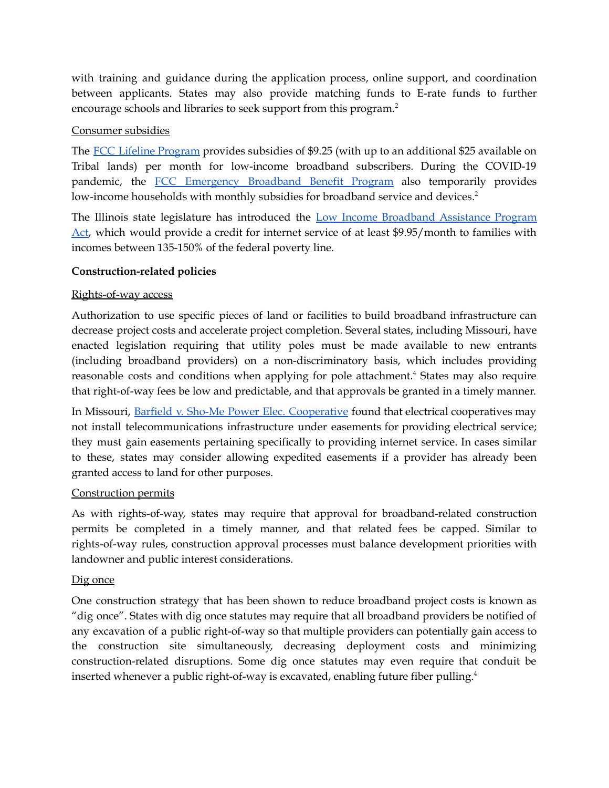with training and guidance during the application process, online support, and coordination between applicants. States may also provide matching funds to E-rate funds to further encourage schools and libraries to seek support from this program. 2

#### Consumer subsidies

The FCC Lifeline [Program](https://www.fcc.gov/general/lifeline-program-low-income-consumers) provides subsidies of \$9.25 (with up to an additional \$25 available on Tribal lands) per month for low-income broadband subscribers. During the COVID-19 pandemic, the FCC [Emergency](https://www.fcc.gov/broadbandbenefit) Broadband Benefit Program also temporarily provides low-income households with monthly subsidies for broadband service and devices.<sup>2</sup>

The Illinois state legislature has introduced the Low Income [Broadband](https://www.ilga.gov/legislation/102/HB/PDF/10200HB3275lv.pdf) Assistance Program [Act](https://www.ilga.gov/legislation/102/HB/PDF/10200HB3275lv.pdf), which would provide a credit for internet service of at least \$9.95/month to families with incomes between 135-150% of the federal poverty line.

#### **Construction-related policies**

#### Rights-of-way access

Authorization to use specific pieces of land or facilities to build broadband infrastructure can decrease project costs and accelerate project completion. Several states, including Missouri, have enacted legislation requiring that utility poles must be made available to new entrants (including broadband providers) on a non-discriminatory basis, which includes providing reasonable costs and conditions when applying for pole attachment.<sup>4</sup> States may also require that right-of-way fees be low and predictable, and that approvals be granted in a timely manner.

In Missouri, Barfield v. Sho-Me Power Elec. [Cooperative](https://casetext.com/case/barfield-v-cooperative-6) found that electrical cooperatives may not install telecommunications infrastructure under easements for providing electrical service; they must gain easements pertaining specifically to providing internet service. In cases similar to these, states may consider allowing expedited easements if a provider has already been granted access to land for other purposes.

#### Construction permits

As with rights-of-way, states may require that approval for broadband-related construction permits be completed in a timely manner, and that related fees be capped. Similar to rights-of-way rules, construction approval processes must balance development priorities with landowner and public interest considerations.

#### Dig once

One construction strategy that has been shown to reduce broadband project costs is known as "dig once". States with dig once statutes may require that all broadband providers be notified of any excavation of a public right-of-way so that multiple providers can potentially gain access to the construction site simultaneously, decreasing deployment costs and minimizing construction-related disruptions. Some dig once statutes may even require that conduit be inserted whenever a public right-of-way is excavated, enabling future fiber pulling.<sup>4</sup>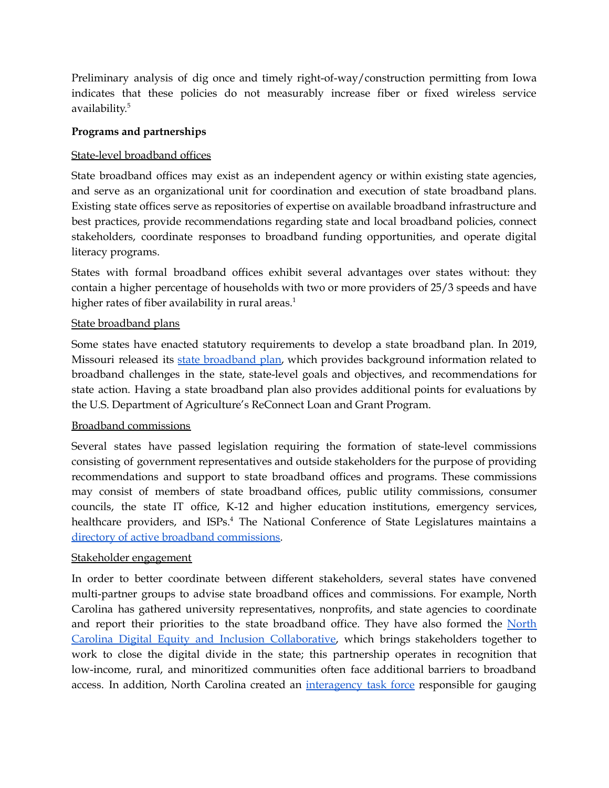Preliminary analysis of dig once and timely right-of-way/construction permitting from Iowa indicates that these policies do not measurably increase fiber or fixed wireless service availability. 5

#### **Programs and partnerships**

#### State-level broadband offices

State broadband offices may exist as an independent agency or within existing state agencies, and serve as an organizational unit for coordination and execution of state broadband plans. Existing state offices serve as repositories of expertise on available broadband infrastructure and best practices, provide recommendations regarding state and local broadband policies, connect stakeholders, coordinate responses to broadband funding opportunities, and operate digital literacy programs.

States with formal broadband offices exhibit several advantages over states without: they contain a higher percentage of households with two or more providers of 25/3 speeds and have higher rates of fiber availability in rural areas.<sup>1</sup>

#### State broadband plans

Some states have enacted statutory requirements to develop a state broadband plan. In 2019, Missouri released its state [broadband](https://ded.mo.gov/sites/default/files/Missouri%20Broadband%20Plan%20(2).pdf) plan, which provides background information related to broadband challenges in the state, state-level goals and objectives, and recommendations for state action. Having a state broadband plan also provides additional points for evaluations by the U.S. Department of Agriculture's ReConnect Loan and Grant Program.

#### Broadband commissions

Several states have passed legislation requiring the formation of state-level commissions consisting of government representatives and outside stakeholders for the purpose of providing recommendations and support to state broadband offices and programs. These commissions may consist of members of state broadband offices, public utility commissions, consumer councils, the state IT office, K-12 and higher education institutions, emergency services, healthcare providers, and ISPs.<sup>4</sup> The National Conference of State Legislatures maintains a directory of active broadband [commissions.](https://www.ncsl.org/research/telecommunications-and-information-technology/state-broadband-task-forces-commissions.aspx#Active)

#### Stakeholder engagement

In order to better coordinate between different stakeholders, several states have convened multi-partner groups to advise state broadband offices and commissions. For example, North Carolina has gathered university representatives, nonprofits, and state agencies to coordinate and report their priorities to the state broadband office. They have also formed the [North](https://www.ncbroadband.gov/digital-divide/digital-equity-collaborative) Carolina Digital Equity and Inclusion [Collaborative,](https://www.ncbroadband.gov/digital-divide/digital-equity-collaborative) which brings stakeholders together to work to close the digital divide in the state; this partnership operates in recognition that low-income, rural, and minoritized communities often face additional barriers to broadband access. In addition, North Carolina created an [interagency](https://governor.nc.gov/media/1190/open) task force responsible for gauging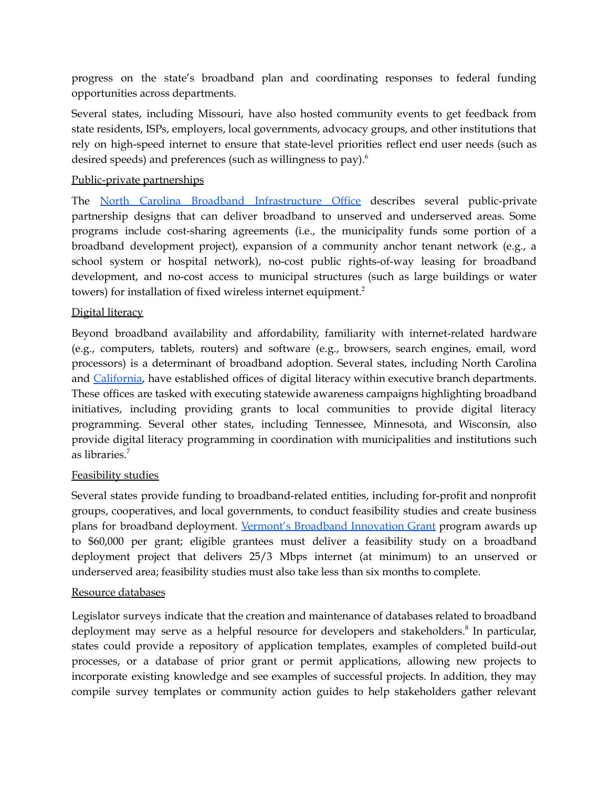progress on the state's broadband plan and coordinating responses to federal funding opportunities across departments.

Several states, including Missouri, have also hosted community events to get feedback from state residents, ISPs, employers, local governments, advocacy groups, and other institutions that rely on high-speed internet to ensure that state-level priorities reflect end user needs (such as desired speeds) and preferences (such as willingness to pay). 6

#### Public-private partnerships

The North Carolina Broadband [Infrastructure](https://www.ncbroadband.gov/technical-assistance/playbook/building-network/public-private) Office describes several public-private partnership designs that can deliver broadband to unserved and underserved areas. Some programs include cost-sharing agreements (i.e., the municipality funds some portion of a broadband development project), expansion of a community anchor tenant network (e.g., a school system or hospital network), no-cost public rights-of-way leasing for broadband development, and no-cost access to municipal structures (such as large buildings or water towers) for installation of fixed wireless internet equipment. 2

#### Digital literacy

Beyond broadband availability and affordability, familiarity with internet-related hardware (e.g., computers, tablets, routers) and software (e.g., browsers, search engines, email, word processors) is a determinant of broadband adoption. Several states, including North Carolina and [California,](https://cdt.ca.gov/broadband-and-digital-literacy-office/) have established offices of digital literacy within executive branch departments. These offices are tasked with executing statewide awareness campaigns highlighting broadband initiatives, including providing grants to local communities to provide digital literacy programming. Several other states, including Tennessee, Minnesota, and Wisconsin, also provide digital literacy programming in coordination with municipalities and institutions such as libraries. 7

#### Feasibility studies

Several states provide funding to broadband-related entities, including for-profit and nonprofit groups, cooperatives, and local governments, to conduct feasibility studies and create business plans for broadband deployment. Vermont's [Broadband](https://publicservice.vermont.gov/content/broadband-innovation-grant-program) Innovation Grant program awards up to \$60,000 per grant; eligible grantees must deliver a feasibility study on a broadband deployment project that delivers 25/3 Mbps internet (at minimum) to an unserved or underserved area; feasibility studies must also take less than six months to complete.

#### Resource databases

Legislator surveys indicate that the creation and maintenance of databases related to broadband deployment may serve as a helpful resource for developers and stakeholders.<sup>8</sup> In particular, states could provide a repository of application templates, examples of completed build-out processes, or a database of prior grant or permit applications, allowing new projects to incorporate existing knowledge and see examples of successful projects. In addition, they may compile survey templates or community action guides to help stakeholders gather relevant